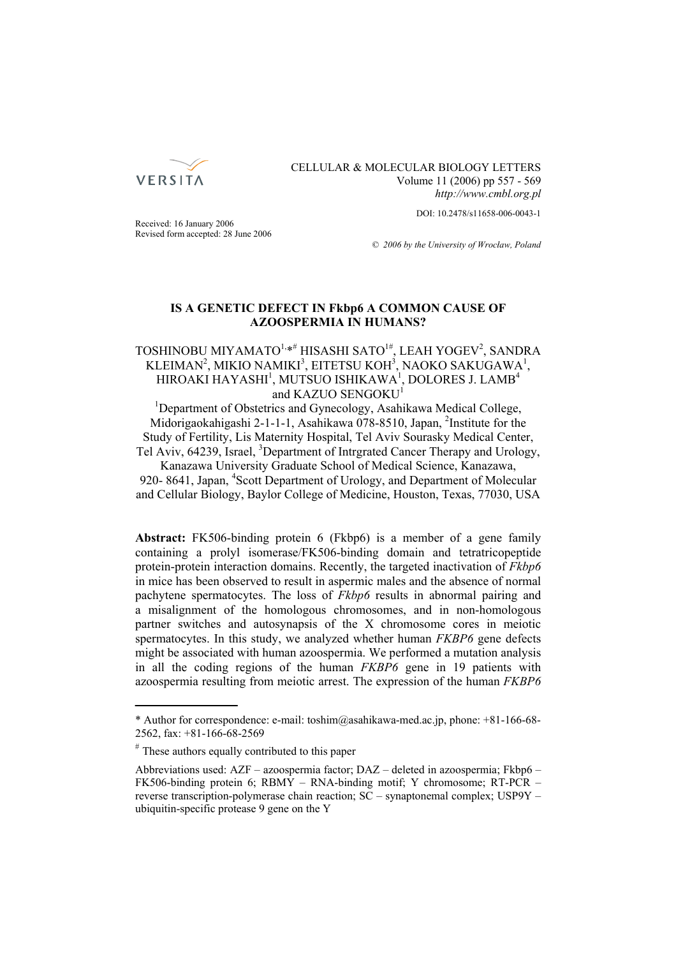

## CELLULAR & MOLECULAR BIOLOGY LETTERS Volume 11 (2006) pp 557 - 569 *http://www.cmbl.org.pl*

DOI: 10.2478/s11658-006-0043-1

Received: 16 January 2006 Revised form accepted: 28 June 2006

*© 2006 by the University of Wrocław, Poland*

# **IS A GENETIC DEFECT IN Fkbp6 A COMMON CAUSE OF AZOOSPERMIA IN HUMANS?**

## TOSHINOBU MIYAMATO<sup>1,</sup>\*<sup>#</sup> HISASHI SATO<sup>1#</sup>, LEAH YOGEV<sup>2</sup>, SANDRA KLEIMAN<sup>2</sup>, MIKIO NAMIKI<sup>3</sup>, EITETSU KOH<sup>3</sup>, NAOKO SAKUGAWA<sup>1</sup>, HIROAKI HAYASHI<sup>1</sup>, MUTSUO ISHIKAWA<sup>1</sup>, DOLORES J. LAMB<sup>4</sup> and KAZUO SENGOKU<sup>1</sup>

<sup>1</sup>Department of Obstetrics and Gynecology, Asahikawa Medical College, Midorigaokahigashi 2-1-1-1, Asahikawa 078-8510, Japan, <sup>2</sup>Institute for the Study of Fertility, Lis Maternity Hospital, Tel Aviv Sourasky Medical Center, Tel Aviv, 64239, Israel, <sup>3</sup>Department of Intrgrated Cancer Therapy and Urology, Kanazawa University Graduate School of Medical Science, Kanazawa,

920-8641, Japan, <sup>4</sup>Scott Department of Urology, and Department of Molecular and Cellular Biology, Baylor College of Medicine, Houston, Texas, 77030, USA

**Abstract:** FK506-binding protein 6 (Fkbp6) is a member of a gene family containing a prolyl isomerase/FK506-binding domain and tetratricopeptide protein-protein interaction domains. Recently, the targeted inactivation of *Fkbp6* in mice has been observed to result in aspermic males and the absence of normal pachytene spermatocytes. The loss of *Fkbp6* results in abnormal pairing and a misalignment of the homologous chromosomes, and in non-homologous partner switches and autosynapsis of the X chromosome cores in meiotic spermatocytes. In this study, we analyzed whether human *FKBP6* gene defects might be associated with human azoospermia. We performed a mutation analysis in all the coding regions of the human *FKBP6* gene in 19 patients with azoospermia resulting from meiotic arrest. The expression of the human *FKBP6*

<sup>\*</sup> Author for correspondence: e-mail: toshim@asahikawa-med.ac.jp, phone: +81-166-68- 2562, fax: +81-166-68-2569

<sup>#</sup> These authors equally contributed to this paper

Abbreviations used: AZF – azoospermia factor; DAZ – deleted in azoospermia; Fkbp6 – FK506-binding protein 6; RBMY – RNA-binding motif; Y chromosome; RT-PCR – reverse transcription-polymerase chain reaction; SC – synaptonemal complex; USP9Y – ubiquitin-specific protease 9 gene on the Y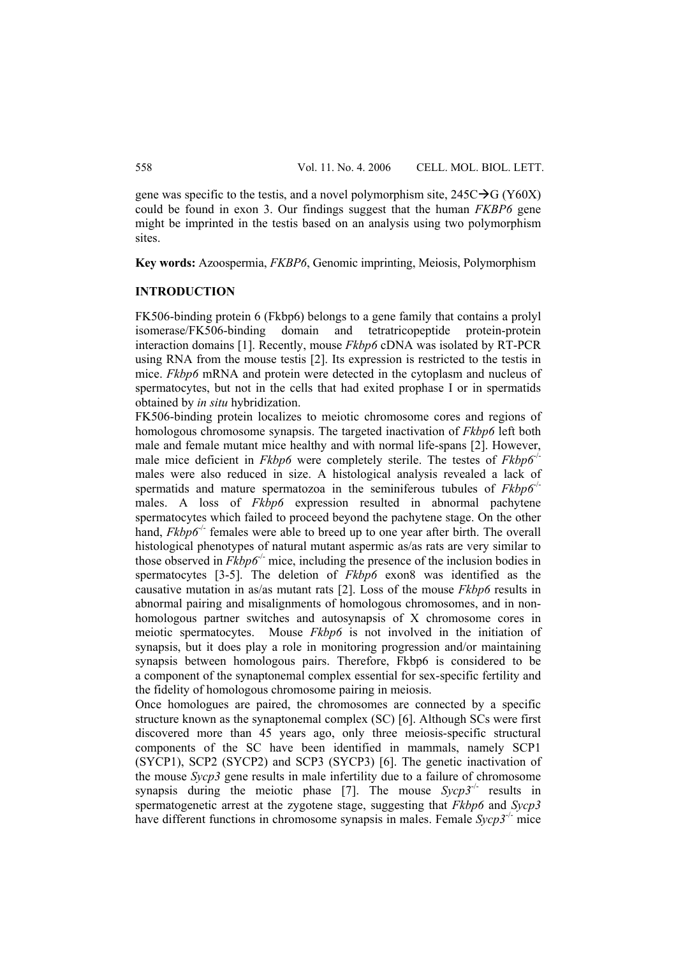gene was specific to the testis, and a novel polymorphism site,  $245C \rightarrow G (Y60X)$ could be found in exon 3. Our findings suggest that the human *FKBP6* gene might be imprinted in the testis based on an analysis using two polymorphism sites.

**Key words:** Azoospermia, *FKBP6*, Genomic imprinting, Meiosis, Polymorphism

### **INTRODUCTION**

FK506-binding protein 6 (Fkbp6) belongs to a gene family that contains a prolyl isomerase/FK506-binding domain and tetratricopeptide protein-protein interaction domains [1]. Recently, mouse *Fkbp6* cDNA was isolated by RT-PCR using RNA from the mouse testis [2]. Its expression is restricted to the testis in mice. *Fkbp6* mRNA and protein were detected in the cytoplasm and nucleus of spermatocytes, but not in the cells that had exited prophase I or in spermatids obtained by *in situ* hybridization.

FK506-binding protein localizes to meiotic chromosome cores and regions of homologous chromosome synapsis. The targeted inactivation of *Fkbp6* left both male and female mutant mice healthy and with normal life-spans [2]. However, male mice deficient in *Fkbp6* were completely sterile. The testes of *Fkbp6<sup>-1</sup>* males were also reduced in size. A histological analysis revealed a lack of spermatids and mature spermatozoa in the seminiferous tubules of  $Fkbp6^{-1}$ males. A loss of *Fkbp6* expression resulted in abnormal pachytene spermatocytes which failed to proceed beyond the pachytene stage. On the other hand, *Fkbp6<sup>-/-</sup>* females were able to breed up to one year after birth. The overall histological phenotypes of natural mutant aspermic as/as rats are very similar to those observed in *Fkbp6<sup>-/-</sup>* mice, including the presence of the inclusion bodies in spermatocytes [3-5]. The deletion of *Fkbp6* exon8 was identified as the causative mutation in as/as mutant rats [2]. Loss of the mouse *Fkbp6* results in abnormal pairing and misalignments of homologous chromosomes, and in nonhomologous partner switches and autosynapsis of X chromosome cores in meiotic spermatocytes. Mouse *Fkbp6* is not involved in the initiation of synapsis, but it does play a role in monitoring progression and/or maintaining synapsis between homologous pairs. Therefore, Fkbp6 is considered to be a component of the synaptonemal complex essential for sex-specific fertility and the fidelity of homologous chromosome pairing in meiosis.

Once homologues are paired, the chromosomes are connected by a specific structure known as the synaptonemal complex (SC) [6]. Although SCs were first discovered more than 45 years ago, only three meiosis-specific structural components of the SC have been identified in mammals, namely SCP1 (SYCP1), SCP2 (SYCP2) and SCP3 (SYCP3) [6]. The genetic inactivation of the mouse *Sycp3* gene results in male infertility due to a failure of chromosome synapsis during the meiotic phase [7]. The mouse *Sycp3<sup>-/-</sup>* results in spermatogenetic arrest at the zygotene stage, suggesting that *Fkbp6* and *Sycp3* have different functions in chromosome synapsis in males. Female *Sycp3<sup>-/-</sup>* mice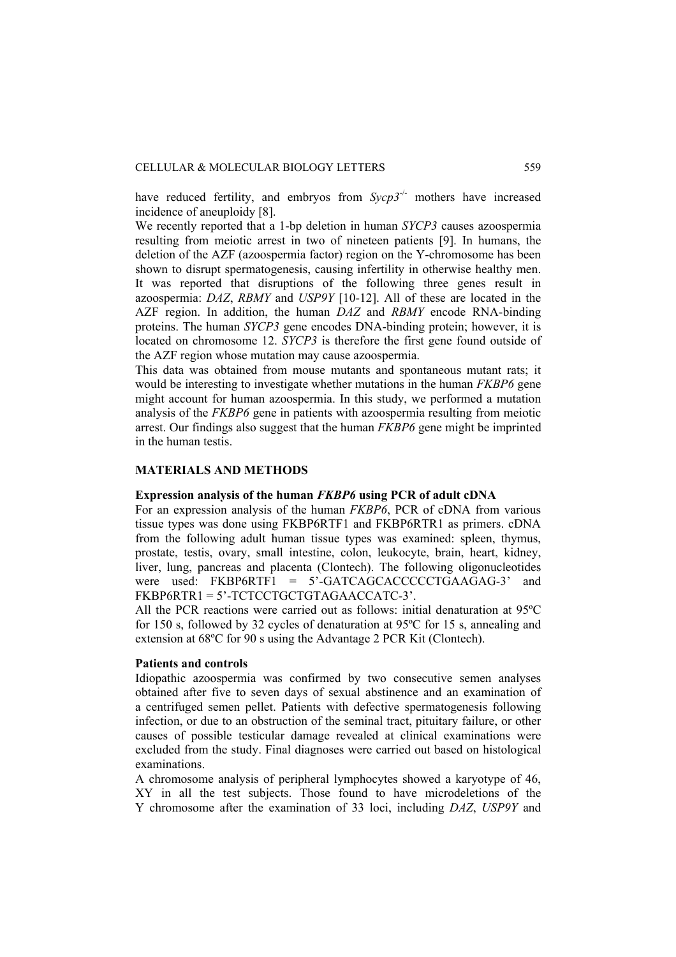have reduced fertility, and embryos from *Sycp3<sup>-/-</sup>* mothers have increased incidence of aneuploidy [8].

We recently reported that a 1-bp deletion in human *SYCP3* causes azoospermia resulting from meiotic arrest in two of nineteen patients [9]. In humans, the deletion of the AZF (azoospermia factor) region on the Y-chromosome has been shown to disrupt spermatogenesis, causing infertility in otherwise healthy men. It was reported that disruptions of the following three genes result in azoospermia: *DAZ*, *RBMY* and *USP9Y* [10-12]. All of these are located in the AZF region. In addition, the human *DAZ* and *RBMY* encode RNA-binding proteins. The human *SYCP3* gene encodes DNA-binding protein; however, it is located on chromosome 12. *SYCP3* is therefore the first gene found outside of the AZF region whose mutation may cause azoospermia.

This data was obtained from mouse mutants and spontaneous mutant rats; it would be interesting to investigate whether mutations in the human *FKBP6* gene might account for human azoospermia. In this study, we performed a mutation analysis of the *FKBP6* gene in patients with azoospermia resulting from meiotic arrest. Our findings also suggest that the human *FKBP6* gene might be imprinted in the human testis.

## **MATERIALS AND METHODS**

# **Expression analysis of the human** *FKBP6* **using PCR of adult cDNA**

For an expression analysis of the human *FKBP6*, PCR of cDNA from various tissue types was done using FKBP6RTF1 and FKBP6RTR1 as primers. cDNA from the following adult human tissue types was examined: spleen, thymus, prostate, testis, ovary, small intestine, colon, leukocyte, brain, heart, kidney, liver, lung, pancreas and placenta (Clontech). The following oligonucleotides were used:  $FKBPGRTF1 = 5'-GATCAGCACCCCCCTGAAGAG-3'$  and FKBP6RTR1 = 5'-TCTCCTGCTGTAGAACCATC-3'.

All the PCR reactions were carried out as follows: initial denaturation at 95ºC for 150 s, followed by 32 cycles of denaturation at 95ºC for 15 s, annealing and extension at 68ºC for 90 s using the Advantage 2 PCR Kit (Clontech).

## **Patients and controls**

Idiopathic azoospermia was confirmed by two consecutive semen analyses obtained after five to seven days of sexual abstinence and an examination of a centrifuged semen pellet. Patients with defective spermatogenesis following infection, or due to an obstruction of the seminal tract, pituitary failure, or other causes of possible testicular damage revealed at clinical examinations were excluded from the study. Final diagnoses were carried out based on histological examinations.

A chromosome analysis of peripheral lymphocytes showed a karyotype of 46, XY in all the test subjects. Those found to have microdeletions of the Y chromosome after the examination of 33 loci, including *DAZ*, *USP9Y* and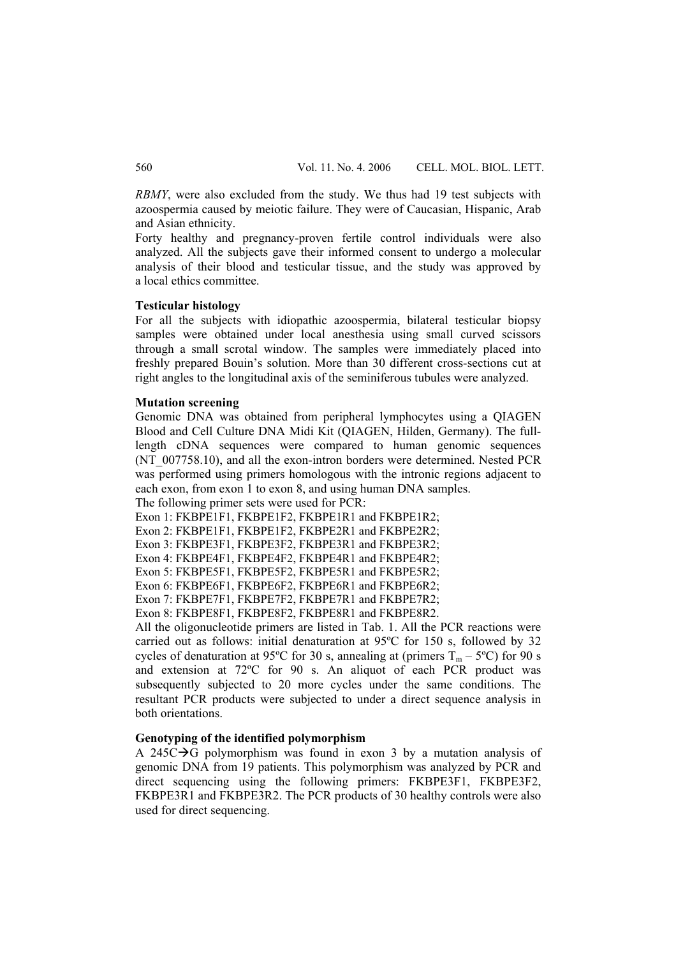*RBMY*, were also excluded from the study. We thus had 19 test subjects with azoospermia caused by meiotic failure. They were of Caucasian, Hispanic, Arab and Asian ethnicity.

Forty healthy and pregnancy-proven fertile control individuals were also analyzed. All the subjects gave their informed consent to undergo a molecular analysis of their blood and testicular tissue, and the study was approved by a local ethics committee.

#### **Testicular histology**

For all the subjects with idiopathic azoospermia, bilateral testicular biopsy samples were obtained under local anesthesia using small curved scissors through a small scrotal window. The samples were immediately placed into freshly prepared Bouin's solution. More than 30 different cross-sections cut at right angles to the longitudinal axis of the seminiferous tubules were analyzed.

#### **Mutation screening**

Genomic DNA was obtained from peripheral lymphocytes using a QIAGEN Blood and Cell Culture DNA Midi Kit (QIAGEN, Hilden, Germany). The fulllength cDNA sequences were compared to human genomic sequences (NT\_007758.10), and all the exon-intron borders were determined. Nested PCR was performed using primers homologous with the intronic regions adjacent to each exon, from exon 1 to exon 8, and using human DNA samples.

The following primer sets were used for PCR:

Exon 1: FKBPE1F1, FKBPE1F2, FKBPE1R1 and FKBPE1R2;

Exon 2: FKBPE1F1, FKBPE1F2, FKBPE2R1 and FKBPE2R2;

Exon 3: FKBPE3F1, FKBPE3F2, FKBPE3R1 and FKBPE3R2;

Exon 4: FKBPE4F1, FKBPE4F2, FKBPE4R1 and FKBPE4R2; Exon 5: FKBPE5F1, FKBPE5F2, FKBPE5R1 and FKBPE5R2;

Exon 6: FKBPE6F1, FKBPE6F2, FKBPE6R1 and FKBPE6R2;

Exon 7: FKBPE7F1, FKBPE7F2, FKBPE7R1 and FKBPE7R2;

Exon 8: FKBPE8F1, FKBPE8F2, FKBPE8R1 and FKBPE8R2.

All the oligonucleotide primers are listed in Tab. 1. All the PCR reactions were carried out as follows: initial denaturation at 95ºC for 150 s, followed by 32 cycles of denaturation at 95°C for 30 s, annealing at (primers  $T_m - 5$ °C) for 90 s and extension at 72ºC for 90 s. An aliquot of each PCR product was subsequently subjected to 20 more cycles under the same conditions. The resultant PCR products were subjected to under a direct sequence analysis in both orientations.

#### **Genotyping of the identified polymorphism**

A 245C $\rightarrow$ G polymorphism was found in exon 3 by a mutation analysis of genomic DNA from 19 patients. This polymorphism was analyzed by PCR and direct sequencing using the following primers: FKBPE3F1, FKBPE3F2, FKBPE3R1 and FKBPE3R2. The PCR products of 30 healthy controls were also used for direct sequencing.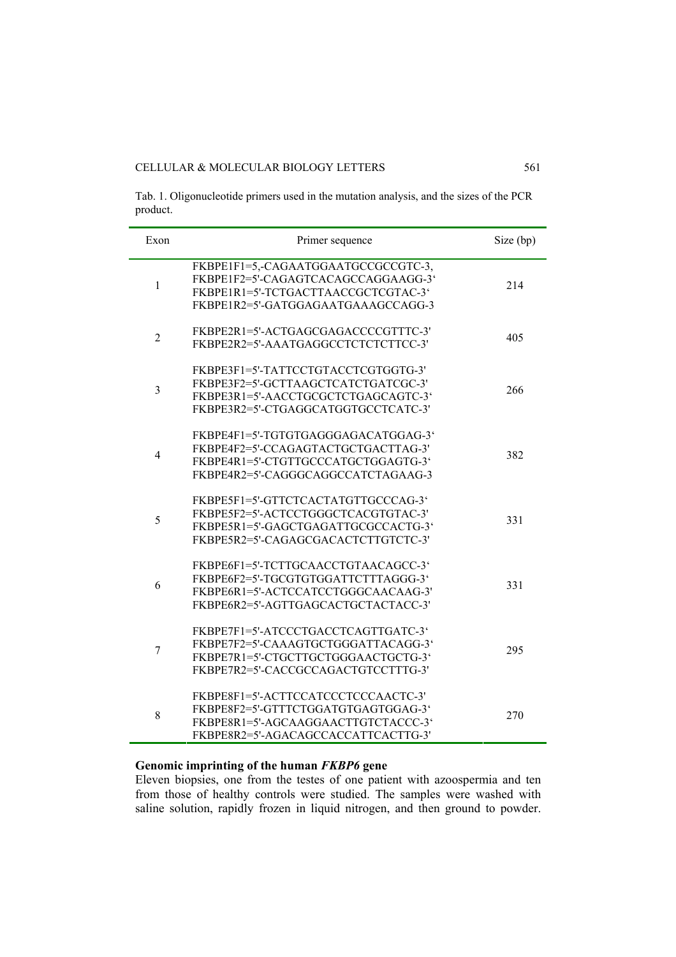Tab. 1. Oligonucleotide primers used in the mutation analysis, and the sizes of the PCR product.

| Exon           | Primer sequence                                                                                                                                          | Size (bp) |
|----------------|----------------------------------------------------------------------------------------------------------------------------------------------------------|-----------|
| $\mathbf{1}$   | FKBPE1F1=5,-CAGAATGGAATGCCGCCGTC-3,<br>FKBPE1F2=5'-CAGAGTCACAGCCAGGAAGG-3'<br>FKBPE1R1=5'-TCTGACTTAACCGCTCGTAC-3'<br>FKBPE1R2=5'-GATGGAGAATGAAAGCCAGG-3  | 214       |
| $\overline{2}$ | FKBPE2R1=5'-ACTGAGCGAGACCCCGTTTC-3'<br>FKBPE2R2=5'-AAATGAGGCCTCTCTCTTCC-3'                                                                               | 405       |
| $\overline{3}$ | FKBPE3F1=5'-TATTCCTGTACCTCGTGGTG-3'<br>FKBPE3F2=5'-GCTTAAGCTCATCTGATCGC-3'<br>FKBPE3R1=5'-AACCTGCGCTCTGAGCAGTC-3'<br>FKBPE3R2=5'-CTGAGGCATGGTGCCTCATC-3' | 266       |
| $\overline{4}$ | FKBPE4F1=5'-TGTGTGAGGGAGACATGGAG-3'<br>FKBPE4F2=5'-CCAGAGTACTGCTGACTTAG-3'<br>FKBPE4R1=5'-CTGTTGCCCATGCTGGAGTG-3'<br>FKBPE4R2=5'-CAGGGCAGGCCATCTAGAAG-3  | 382       |
| 5              | FKBPE5F1=5'-GTTCTCACTATGTTGCCCAG-3'<br>FKBPE5F2=5'-ACTCCTGGGCTCACGTGTAC-3'<br>FKBPE5R1=5'-GAGCTGAGATTGCGCCACTG-3'<br>FKBPE5R2=5'-CAGAGCGACACTCTTGTCTC-3' | 331       |
| 6              | FKBPE6F1=5'-TCTTGCAACCTGTAACAGCC-3'<br>FKBPE6F2=5'-TGCGTGTGGATTCTTTAGGG-3'<br>FKBPE6R1=5'-ACTCCATCCTGGGCAACAAG-3'<br>FKBPE6R2=5'-AGTTGAGCACTGCTACTACC-3' | 331       |
| 7              | FKBPE7F1=5'-ATCCCTGACCTCAGTTGATC-3"<br>FKBPE7F2=5'-CAAAGTGCTGGGATTACAGG-3'<br>FKBPE7R1=5'-CTGCTTGCTGGGAACTGCTG-3'<br>FKBPE7R2=5'-CACCGCCAGACTGTCCTTTG-3' | 295       |
| 8              | FKBPE8F1=5'-ACTTCCATCCCTCCCAACTC-3'<br>FKBPE8F2=5'-GTTTCTGGATGTGAGTGGAG-3'<br>FKBPE8R1=5'-AGCAAGGAACTTGTCTACCC-3'<br>FKBPE8R2=5'-AGACAGCCACCATTCACTTG-3' | 270       |

# **Genomic imprinting of the human** *FKBP6* **gene**

Eleven biopsies, one from the testes of one patient with azoospermia and ten from those of healthy controls were studied. The samples were washed with saline solution, rapidly frozen in liquid nitrogen, and then ground to powder.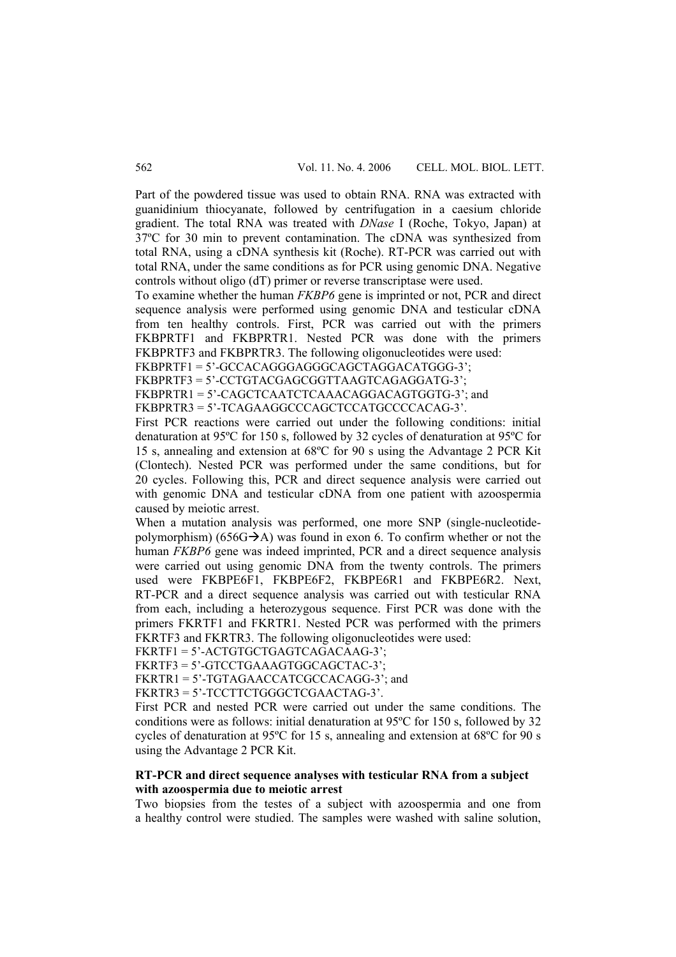Part of the powdered tissue was used to obtain RNA. RNA was extracted with guanidinium thiocyanate, followed by centrifugation in a caesium chloride gradient. The total RNA was treated with *DNase* I (Roche, Tokyo, Japan) at 37ºC for 30 min to prevent contamination. The cDNA was synthesized from total RNA, using a cDNA synthesis kit (Roche). RT-PCR was carried out with total RNA, under the same conditions as for PCR using genomic DNA. Negative controls without oligo (dT) primer or reverse transcriptase were used.

To examine whether the human *FKBP6* gene is imprinted or not, PCR and direct sequence analysis were performed using genomic DNA and testicular cDNA from ten healthy controls. First, PCR was carried out with the primers FKBPRTF1 and FKBPRTR1. Nested PCR was done with the primers FKBPRTF3 and FKBPRTR3. The following oligonucleotides were used:

FKBPRTF1 = 5'-GCCACAGGGAGGGCAGCTAGGACATGGG-3';

FKBPRTF3 = 5'-CCTGTACGAGCGGTTAAGTCAGAGGATG-3';

FKBPRTR1 = 5'-CAGCTCAATCTCAAACAGGACAGTGGTG-3': and

FKBPRTR3 = 5'-TCAGAAGGCCCAGCTCCATGCCCCACAG-3'.

First PCR reactions were carried out under the following conditions: initial denaturation at 95ºC for 150 s, followed by 32 cycles of denaturation at 95ºC for 15 s, annealing and extension at 68ºC for 90 s using the Advantage 2 PCR Kit (Clontech). Nested PCR was performed under the same conditions, but for 20 cycles. Following this, PCR and direct sequence analysis were carried out with genomic DNA and testicular cDNA from one patient with azoospermia caused by meiotic arrest.

When a mutation analysis was performed, one more SNP (single-nucleotidepolymorphism) (656G $\rightarrow$ A) was found in exon 6. To confirm whether or not the human *FKBP6* gene was indeed imprinted, PCR and a direct sequence analysis were carried out using genomic DNA from the twenty controls. The primers used were FKBPE6F1, FKBPE6F2, FKBPE6R1 and FKBPE6R2. Next, RT-PCR and a direct sequence analysis was carried out with testicular RNA from each, including a heterozygous sequence. First PCR was done with the primers FKRTF1 and FKRTR1. Nested PCR was performed with the primers FKRTF3 and FKRTR3. The following oligonucleotides were used:

FKRTF1 = 5'-ACTGTGCTGAGTCAGACAAG-3';

FKRTF3 = 5'-GTCCTGAAAGTGGCAGCTAC-3';

FKRTR1 = 5'-TGTAGAACCATCGCCACAGG-3'; and

FKRTR3 = 5'-TCCTTCTGGGCTCGAACTAG-3'.

First PCR and nested PCR were carried out under the same conditions. The conditions were as follows: initial denaturation at 95ºC for 150 s, followed by 32 cycles of denaturation at 95ºC for 15 s, annealing and extension at 68ºC for 90 s using the Advantage 2 PCR Kit.

### **RT-PCR and direct sequence analyses with testicular RNA from a subject with azoospermia due to meiotic arrest**

Two biopsies from the testes of a subject with azoospermia and one from a healthy control were studied. The samples were washed with saline solution,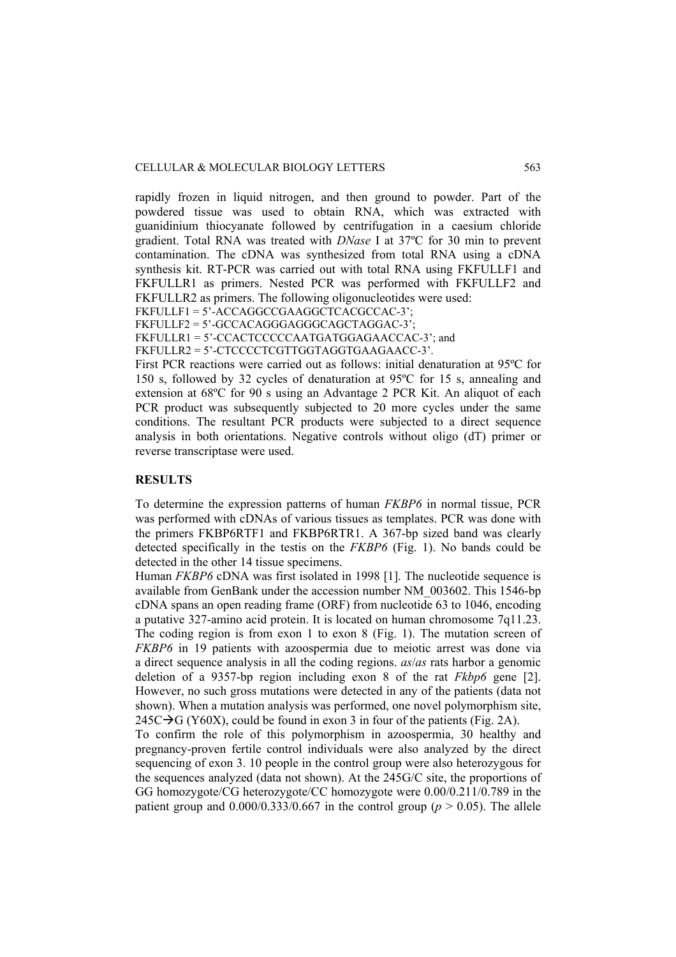rapidly frozen in liquid nitrogen, and then ground to powder. Part of the powdered tissue was used to obtain RNA, which was extracted with guanidinium thiocyanate followed by centrifugation in a caesium chloride gradient. Total RNA was treated with *DNase* I at 37ºC for 30 min to prevent contamination. The cDNA was synthesized from total RNA using a cDNA synthesis kit. RT-PCR was carried out with total RNA using FKFULLF1 and FKFULLR1 as primers. Nested PCR was performed with FKFULLF2 and FKFULLR2 as primers. The following oligonucleotides were used:

FKFULLF1 = 5'-ACCAGGCCGAAGGCTCACGCCAC-3';

FKFULLF2 = 5'-GCCACAGGGAGGGCAGCTAGGAC-3';

FKFULLR1 = 5'-CCACTCCCCCAATGATGGAGAACCAC-3'; and

FKFULLR2 = 5'-CTCCCCTCGTTGGTAGGTGAAGAACC-3'.

First PCR reactions were carried out as follows: initial denaturation at 95ºC for 150 s, followed by 32 cycles of denaturation at 95ºC for 15 s, annealing and extension at 68ºC for 90 s using an Advantage 2 PCR Kit. An aliquot of each PCR product was subsequently subjected to 20 more cycles under the same conditions. The resultant PCR products were subjected to a direct sequence analysis in both orientations. Negative controls without oligo (dT) primer or reverse transcriptase were used.

## **RESULTS**

To determine the expression patterns of human *FKBP6* in normal tissue, PCR was performed with cDNAs of various tissues as templates. PCR was done with the primers FKBP6RTF1 and FKBP6RTR1. A 367-bp sized band was clearly detected specifically in the testis on the *FKBP6* (Fig. 1). No bands could be detected in the other 14 tissue specimens.

Human *FKBP6* cDNA was first isolated in 1998 [1]. The nucleotide sequence is available from GenBank under the accession number NM\_003602. This 1546-bp cDNA spans an open reading frame (ORF) from nucleotide 63 to 1046, encoding a putative 327-amino acid protein. It is located on human chromosome 7q11.23. The coding region is from exon 1 to exon 8 (Fig. 1). The mutation screen of *FKBP6* in 19 patients with azoospermia due to meiotic arrest was done via a direct sequence analysis in all the coding regions. *as*/*as* rats harbor a genomic deletion of a 9357-bp region including exon 8 of the rat *Fkbp6* gene [2]. However, no such gross mutations were detected in any of the patients (data not shown). When a mutation analysis was performed, one novel polymorphism site,  $245C \rightarrow G (Y60X)$ , could be found in exon 3 in four of the patients (Fig. 2A).

To confirm the role of this polymorphism in azoospermia, 30 healthy and pregnancy-proven fertile control individuals were also analyzed by the direct sequencing of exon 3. 10 people in the control group were also heterozygous for the sequences analyzed (data not shown). At the 245G/C site, the proportions of GG homozygote/CG heterozygote/CC homozygote were 0.00/0.211/0.789 in the patient group and  $0.000/0.333/0.667$  in the control group ( $p > 0.05$ ). The allele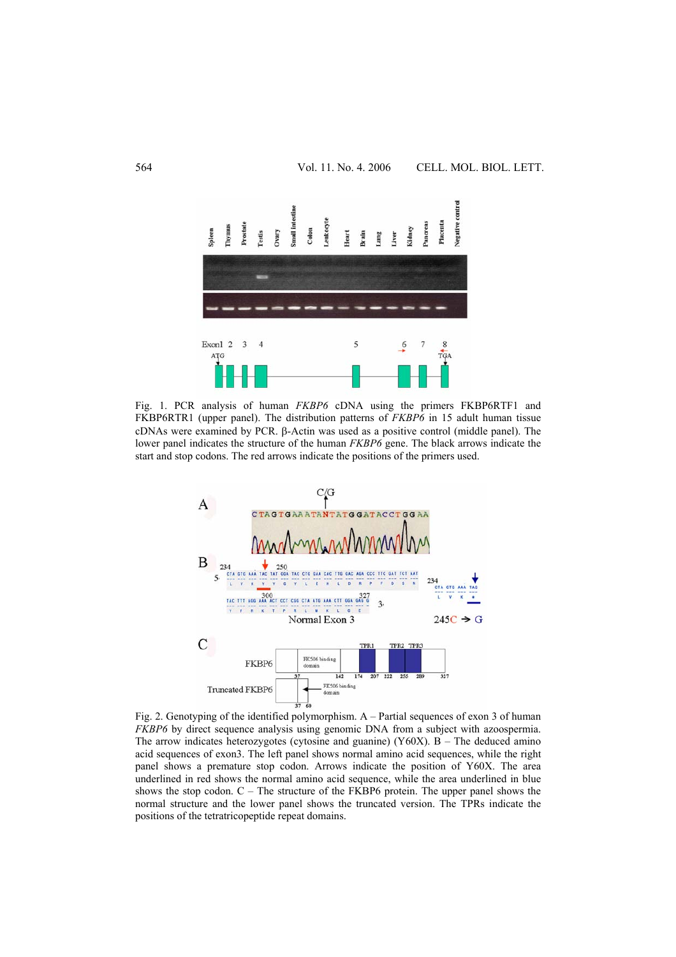

Fig. 1. PCR analysis of human *FKBP6* cDNA using the primers FKBP6RTF1 and FKBP6RTR1 (upper panel). The distribution patterns of *FKBP6* in 15 adult human tissue cDNAs were examined by PCR. β-Actin was used as a positive control (middle panel). The lower panel indicates the structure of the human *FKBP6* gene. The black arrows indicate the start and stop codons. The red arrows indicate the positions of the primers used.



Fig. 2. Genotyping of the identified polymorphism. A – Partial sequences of exon 3 of human *FKBP6* by direct sequence analysis using genomic DNA from a subject with azoospermia. The arrow indicates heterozygotes (cytosine and guanine)  $(Y60X)$ . B – The deduced amino acid sequences of exon3. The left panel shows normal amino acid sequences, while the right panel shows a premature stop codon. Arrows indicate the position of Y60X. The area underlined in red shows the normal amino acid sequence, while the area underlined in blue shows the stop codon.  $C -$  The structure of the FKBP6 protein. The upper panel shows the normal structure and the lower panel shows the truncated version. The TPRs indicate the positions of the tetratricopeptide repeat domains.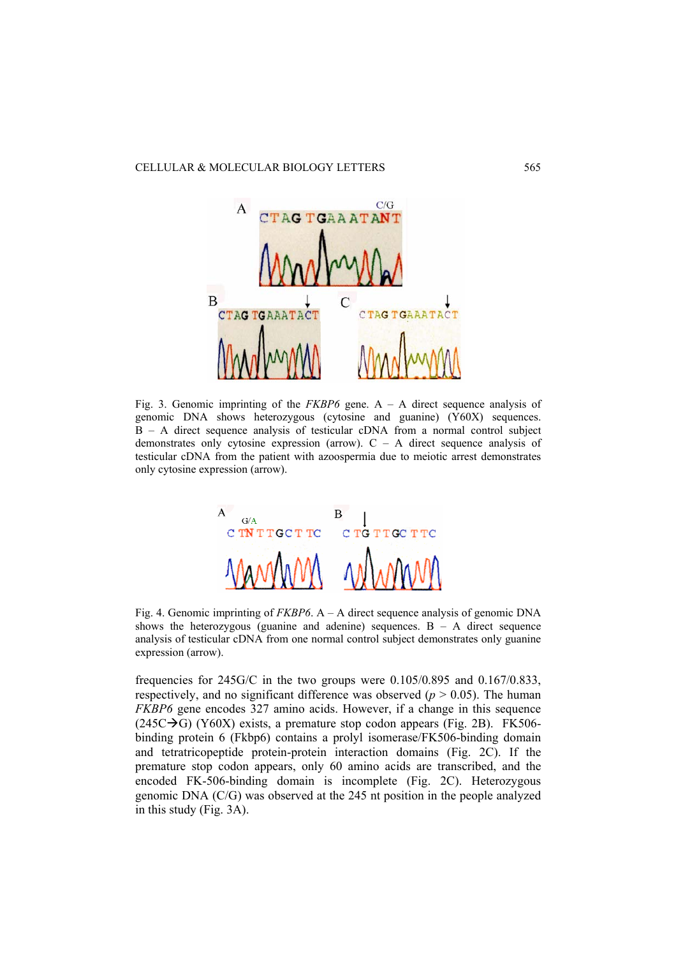

Fig. 3. Genomic imprinting of the *FKBP6* gene. A – A direct sequence analysis of genomic DNA shows heterozygous (cytosine and guanine) (Y60X) sequences. B – A direct sequence analysis of testicular cDNA from a normal control subject demonstrates only cytosine expression (arrow).  $C - A$  direct sequence analysis of testicular cDNA from the patient with azoospermia due to meiotic arrest demonstrates only cytosine expression (arrow).



Fig. 4. Genomic imprinting of *FKBP6*. A – A direct sequence analysis of genomic DNA shows the heterozygous (guanine and adenine) sequences.  $B - A$  direct sequence analysis of testicular cDNA from one normal control subject demonstrates only guanine expression (arrow).

frequencies for 245G/C in the two groups were 0.105/0.895 and 0.167/0.833, respectively, and no significant difference was observed  $(p > 0.05)$ . The human *FKBP6* gene encodes 327 amino acids. However, if a change in this sequence  $(245C\rightarrow G)$  (Y60X) exists, a premature stop codon appears (Fig. 2B). FK506binding protein 6 (Fkbp6) contains a prolyl isomerase/FK506-binding domain and tetratricopeptide protein-protein interaction domains (Fig. 2C). If the premature stop codon appears, only 60 amino acids are transcribed, and the encoded FK-506-binding domain is incomplete (Fig. 2C). Heterozygous genomic DNA (C/G) was observed at the 245 nt position in the people analyzed in this study (Fig. 3A).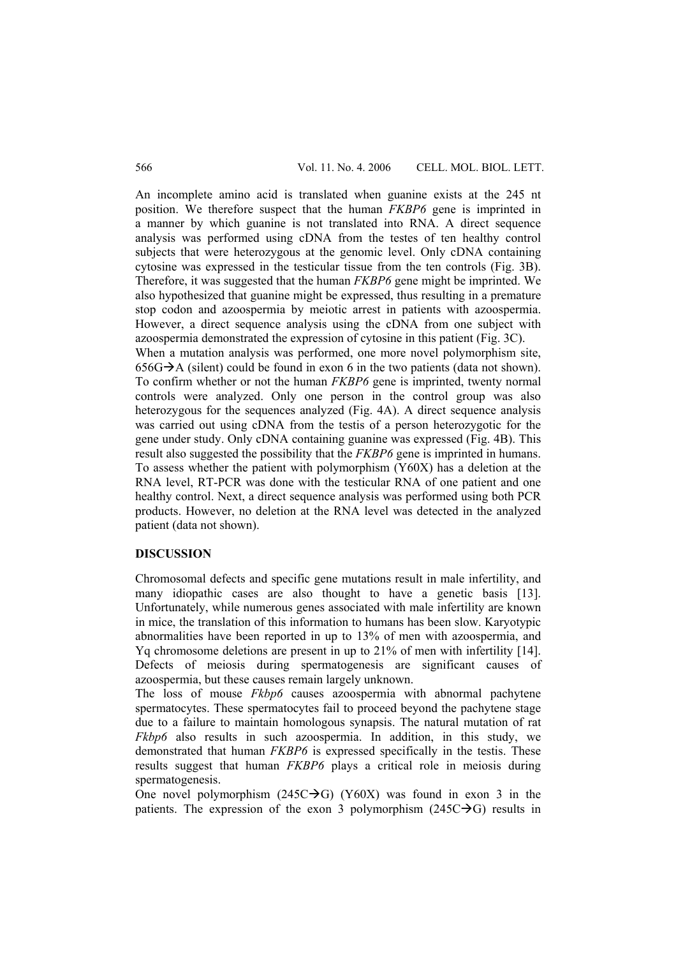An incomplete amino acid is translated when guanine exists at the 245 nt position. We therefore suspect that the human *FKBP6* gene is imprinted in a manner by which guanine is not translated into RNA. A direct sequence analysis was performed using cDNA from the testes of ten healthy control subjects that were heterozygous at the genomic level. Only cDNA containing cytosine was expressed in the testicular tissue from the ten controls (Fig. 3B). Therefore, it was suggested that the human *FKBP6* gene might be imprinted. We also hypothesized that guanine might be expressed, thus resulting in a premature stop codon and azoospermia by meiotic arrest in patients with azoospermia. However, a direct sequence analysis using the cDNA from one subject with azoospermia demonstrated the expression of cytosine in this patient (Fig. 3C).

When a mutation analysis was performed, one more novel polymorphism site,  $656G\rightarrow A$  (silent) could be found in exon 6 in the two patients (data not shown). To confirm whether or not the human *FKBP6* gene is imprinted, twenty normal controls were analyzed. Only one person in the control group was also heterozygous for the sequences analyzed (Fig. 4A). A direct sequence analysis was carried out using cDNA from the testis of a person heterozygotic for the gene under study. Only cDNA containing guanine was expressed (Fig. 4B). This result also suggested the possibility that the *FKBP6* gene is imprinted in humans. To assess whether the patient with polymorphism (Y60X) has a deletion at the RNA level, RT-PCR was done with the testicular RNA of one patient and one healthy control. Next, a direct sequence analysis was performed using both PCR products. However, no deletion at the RNA level was detected in the analyzed patient (data not shown).

## **DISCUSSION**

Chromosomal defects and specific gene mutations result in male infertility, and many idiopathic cases are also thought to have a genetic basis [13]. Unfortunately, while numerous genes associated with male infertility are known in mice, the translation of this information to humans has been slow. Karyotypic abnormalities have been reported in up to 13% of men with azoospermia, and Yq chromosome deletions are present in up to 21% of men with infertility [14]. Defects of meiosis during spermatogenesis are significant causes of azoospermia, but these causes remain largely unknown.

The loss of mouse *Fkbp6* causes azoospermia with abnormal pachytene spermatocytes. These spermatocytes fail to proceed beyond the pachytene stage due to a failure to maintain homologous synapsis. The natural mutation of rat *Fkbp6* also results in such azoospermia. In addition, in this study, we demonstrated that human *FKBP6* is expressed specifically in the testis. These results suggest that human *FKBP6* plays a critical role in meiosis during spermatogenesis.

One novel polymorphism  $(245C \rightarrow G)$  (Y60X) was found in exon 3 in the patients. The expression of the exon 3 polymorphism  $(245C\rightarrow G)$  results in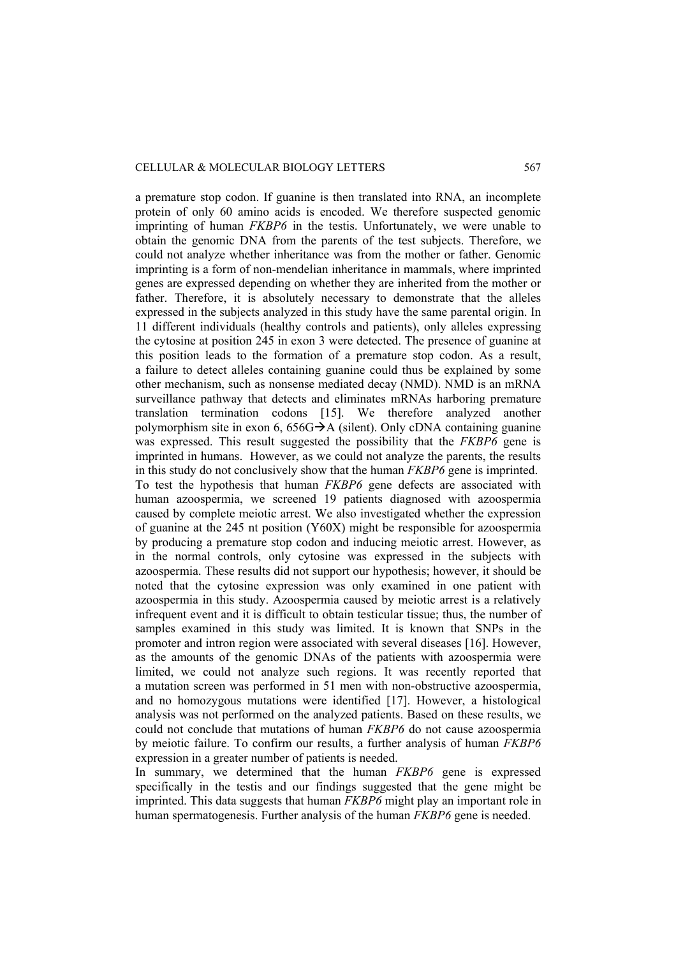a premature stop codon. If guanine is then translated into RNA, an incomplete protein of only 60 amino acids is encoded. We therefore suspected genomic imprinting of human *FKBP6* in the testis. Unfortunately, we were unable to obtain the genomic DNA from the parents of the test subjects. Therefore, we could not analyze whether inheritance was from the mother or father. Genomic imprinting is a form of non-mendelian inheritance in mammals, where imprinted genes are expressed depending on whether they are inherited from the mother or father. Therefore, it is absolutely necessary to demonstrate that the alleles expressed in the subjects analyzed in this study have the same parental origin. In 11 different individuals (healthy controls and patients), only alleles expressing the cytosine at position 245 in exon 3 were detected. The presence of guanine at this position leads to the formation of a premature stop codon. As a result, a failure to detect alleles containing guanine could thus be explained by some other mechanism, such as nonsense mediated decay (NMD). NMD is an mRNA surveillance pathway that detects and eliminates mRNAs harboring premature translation termination codons [15]. We therefore analyzed another polymorphism site in exon 6,  $656G\rightarrow A$  (silent). Only cDNA containing guanine was expressed. This result suggested the possibility that the *FKBP6* gene is imprinted in humans. However, as we could not analyze the parents, the results in this study do not conclusively show that the human *FKBP6* gene is imprinted. To test the hypothesis that human *FKBP6* gene defects are associated with human azoospermia, we screened 19 patients diagnosed with azoospermia caused by complete meiotic arrest. We also investigated whether the expression of guanine at the 245 nt position (Y60X) might be responsible for azoospermia by producing a premature stop codon and inducing meiotic arrest. However, as in the normal controls, only cytosine was expressed in the subjects with azoospermia. These results did not support our hypothesis; however, it should be noted that the cytosine expression was only examined in one patient with azoospermia in this study. Azoospermia caused by meiotic arrest is a relatively infrequent event and it is difficult to obtain testicular tissue; thus, the number of samples examined in this study was limited. It is known that SNPs in the promoter and intron region were associated with several diseases [16]. However, as the amounts of the genomic DNAs of the patients with azoospermia were limited, we could not analyze such regions. It was recently reported that a mutation screen was performed in 51 men with non-obstructive azoospermia, and no homozygous mutations were identified [17]. However, a histological analysis was not performed on the analyzed patients. Based on these results, we could not conclude that mutations of human *FKBP6* do not cause azoospermia by meiotic failure. To confirm our results, a further analysis of human *FKBP6* expression in a greater number of patients is needed.

In summary, we determined that the human *FKBP6* gene is expressed specifically in the testis and our findings suggested that the gene might be imprinted. This data suggests that human *FKBP6* might play an important role in human spermatogenesis. Further analysis of the human *FKBP6* gene is needed.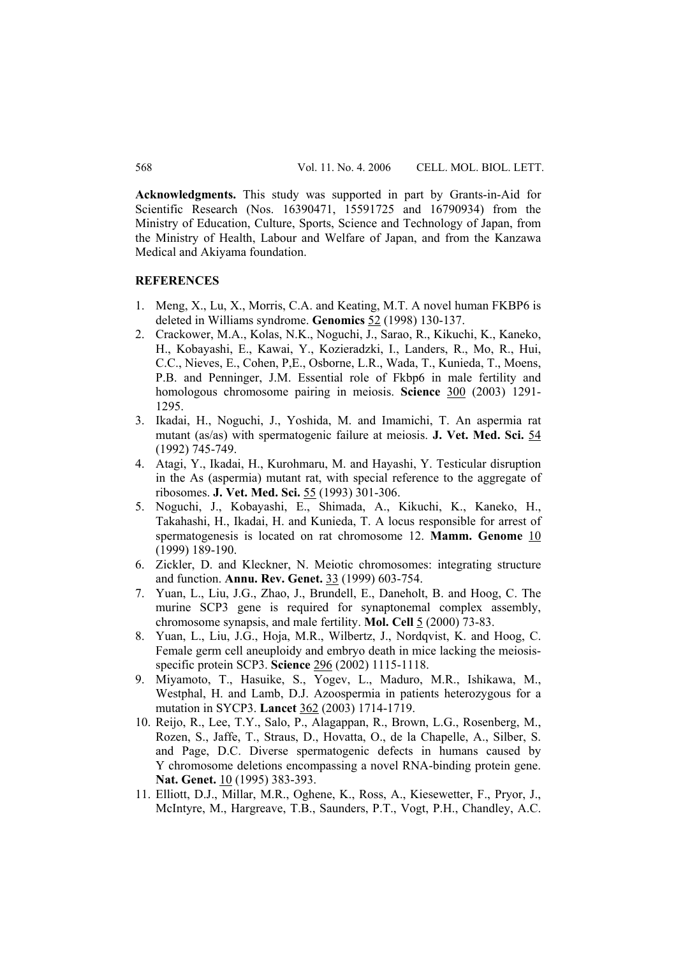**Acknowledgments.** This study was supported in part by Grants-in-Aid for Scientific Research (Nos. 16390471, 15591725 and 16790934) from the Ministry of Education, Culture, Sports, Science and Technology of Japan, from the Ministry of Health, Labour and Welfare of Japan, and from the Kanzawa Medical and Akiyama foundation.

### **REFERENCES**

- 1. Meng, X., Lu, X., Morris, C.A. and Keating, M.T. A novel human FKBP6 is deleted in Williams syndrome. **Genomics** 52 (1998) 130-137.
- 2. Crackower, M.A., Kolas, N.K., Noguchi, J., Sarao, R., Kikuchi, K., Kaneko, H., Kobayashi, E., Kawai, Y., Kozieradzki, I., Landers, R., Mo, R., Hui, C.C., Nieves, E., Cohen, P,E., Osborne, L.R., Wada, T., Kunieda, T., Moens, P.B. and Penninger, J.M. Essential role of Fkbp6 in male fertility and homologous chromosome pairing in meiosis. **Science** 300 (2003) 1291- 1295.
- 3. Ikadai, H., Noguchi, J., Yoshida, M. and Imamichi, T. An aspermia rat mutant (as/as) with spermatogenic failure at meiosis. **J. Vet. Med. Sci.** 54 (1992) 745-749.
- 4. Atagi, Y., Ikadai, H., Kurohmaru, M. and Hayashi, Y. Testicular disruption in the As (aspermia) mutant rat, with special reference to the aggregate of ribosomes. **J. Vet. Med. Sci.** 55 (1993) 301-306.
- 5. Noguchi, J., Kobayashi, E., Shimada, A., Kikuchi, K., Kaneko, H., Takahashi, H., Ikadai, H. and Kunieda, T. A locus responsible for arrest of spermatogenesis is located on rat chromosome 12. **Mamm. Genome** 10 (1999) 189-190.
- 6. Zickler, D. and Kleckner, N. Meiotic chromosomes: integrating structure and function. **Annu. Rev. Genet.** 33 (1999) 603-754.
- 7. Yuan, L., Liu, J.G., Zhao, J., Brundell, E., Daneholt, B. and Hoog, C. The murine SCP3 gene is required for synaptonemal complex assembly, chromosome synapsis, and male fertility. **Mol. Cell** 5 (2000) 73-83.
- 8. Yuan, L., Liu, J.G., Hoja, M.R., Wilbertz, J., Nordqvist, K. and Hoog, C. Female germ cell aneuploidy and embryo death in mice lacking the meiosisspecific protein SCP3. **Science** 296 (2002) 1115-1118.
- 9. Miyamoto, T., Hasuike, S., Yogev, L., Maduro, M.R., Ishikawa, M., Westphal, H. and Lamb, D.J. Azoospermia in patients heterozygous for a mutation in SYCP3. **Lancet** 362 (2003) 1714-1719.
- 10. Reijo, R., Lee, T.Y., Salo, P., Alagappan, R., Brown, L.G., Rosenberg, M., Rozen, S., Jaffe, T., Straus, D., Hovatta, O., de la Chapelle, A., Silber, S. and Page, D.C. Diverse spermatogenic defects in humans caused by Y chromosome deletions encompassing a novel RNA-binding protein gene. **Nat. Genet.** 10 (1995) 383-393.
- 11. Elliott, D.J., Millar, M.R., Oghene, K., Ross, A., Kiesewetter, F., Pryor, J., McIntyre, M., Hargreave, T.B., Saunders, P.T., Vogt, P.H., Chandley, A.C.